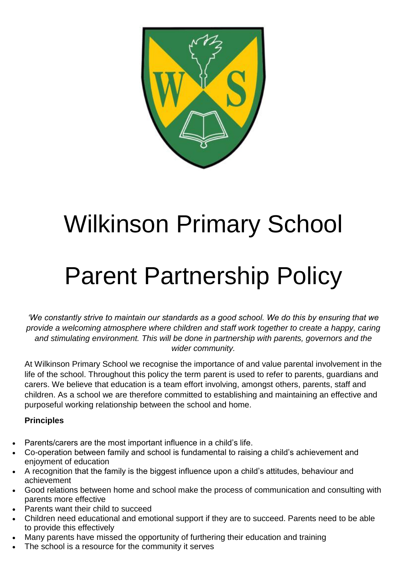

# Wilkinson Primary School

# Parent Partnership Policy

*'We constantly strive to maintain our standards as a good school. We do this by ensuring that we provide a welcoming atmosphere where children and staff work together to create a happy, caring and stimulating environment. This will be done in partnership with parents, governors and the wider community.*

At Wilkinson Primary School we recognise the importance of and value parental involvement in the life of the school. Throughout this policy the term parent is used to refer to parents, guardians and carers. We believe that education is a team effort involving, amongst others, parents, staff and children. As a school we are therefore committed to establishing and maintaining an effective and purposeful working relationship between the school and home.

### **Principles**

- Parents/carers are the most important influence in a child's life.
- Co-operation between family and school is fundamental to raising a child's achievement and enjoyment of education
- A recognition that the family is the biggest influence upon a child's attitudes, behaviour and achievement
- Good relations between home and school make the process of communication and consulting with parents more effective
- Parents want their child to succeed
- Children need educational and emotional support if they are to succeed. Parents need to be able to provide this effectively
- Many parents have missed the opportunity of furthering their education and training
- The school is a resource for the community it serves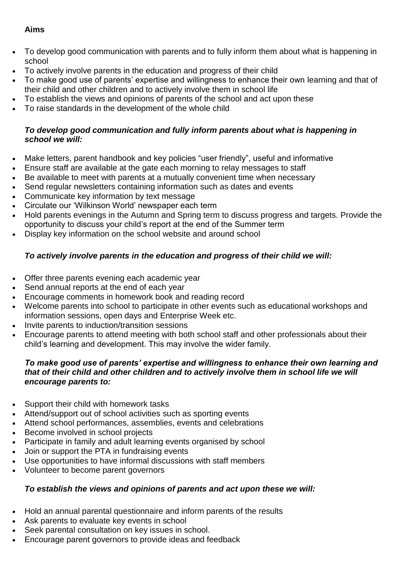#### **Aims**

- To develop good communication with parents and to fully inform them about what is happening in school
- To actively involve parents in the education and progress of their child
- To make good use of parents' expertise and willingness to enhance their own learning and that of their child and other children and to actively involve them in school life
- To establish the views and opinions of parents of the school and act upon these
- To raise standards in the development of the whole child

#### *To develop good communication and fully inform parents about what is happening in school we will:*

- Make letters, parent handbook and key policies "user friendly", useful and informative
- Ensure staff are available at the gate each morning to relay messages to staff
- Be available to meet with parents at a mutually convenient time when necessary
- Send regular newsletters containing information such as dates and events
- Communicate key information by text message
- Circulate our 'Wilkinson World' newspaper each term
- Hold parents evenings in the Autumn and Spring term to discuss progress and targets. Provide the opportunity to discuss your child's report at the end of the Summer term
- Display key information on the school website and around school

### *To actively involve parents in the education and progress of their child we will:*

- Offer three parents evening each academic year
- Send annual reports at the end of each year
- Encourage comments in homework book and reading record
- Welcome parents into school to participate in other events such as educational workshops and information sessions, open days and Enterprise Week etc.
- Invite parents to induction/transition sessions
- Encourage parents to attend meeting with both school staff and other professionals about their child's learning and development. This may involve the wider family.

#### *To make good use of parents' expertise and willingness to enhance their own learning and that of their child and other children and to actively involve them in school life we will encourage parents to:*

- Support their child with homework tasks
- Attend/support out of school activities such as sporting events
- Attend school performances, assemblies, events and celebrations
- Become involved in school projects
- Participate in family and adult learning events organised by school
- Join or support the PTA in fundraising events
- Use opportunities to have informal discussions with staff members
- Volunteer to become parent governors

#### *To establish the views and opinions of parents and act upon these we will:*

- Hold an annual parental questionnaire and inform parents of the results
- Ask parents to evaluate key events in school
- Seek parental consultation on key issues in school.
- Encourage parent governors to provide ideas and feedback